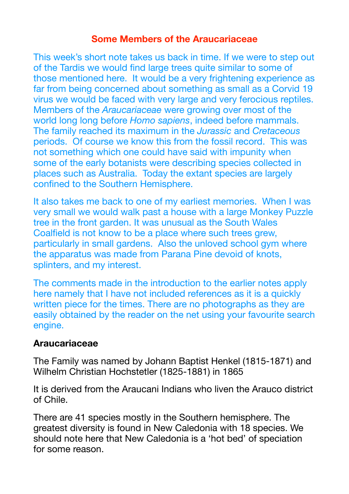#### **Some Members of the Araucariaceae**

This week's short note takes us back in time. If we were to step out of the Tardis we would find large trees quite similar to some of those mentioned here. It would be a very frightening experience as far from being concerned about something as small as a Corvid 19 virus we would be faced with very large and very ferocious reptiles. Members of the *Araucariaceae* were growing over most of the world long long before *Homo sapiens*, indeed before mammals. The family reached its maximum in the *Jurassic* and *Cretaceous*  periods. Of course we know this from the fossil record. This was not something which one could have said with impunity when some of the early botanists were describing species collected in places such as Australia. Today the extant species are largely confined to the Southern Hemisphere.

It also takes me back to one of my earliest memories. When I was very small we would walk past a house with a large Monkey Puzzle tree in the front garden. It was unusual as the South Wales Coalfield is not know to be a place where such trees grew, particularly in small gardens. Also the unloved school gym where the apparatus was made from Parana Pine devoid of knots, splinters, and my interest.

The comments made in the introduction to the earlier notes apply here namely that I have not included references as it is a quickly written piece for the times. There are no photographs as they are easily obtained by the reader on the net using your favourite search engine.

#### **Araucariaceae**

The Family was named by Johann Baptist Henkel (1815-1871) and Wilhelm Christian Hochstetler (1825-1881) in 1865

It is derived from the Araucani Indians who liven the Arauco district of Chile.

There are 41 species mostly in the Southern hemisphere. The greatest diversity is found in New Caledonia with 18 species. We should note here that New Caledonia is a 'hot bed' of speciation for some reason.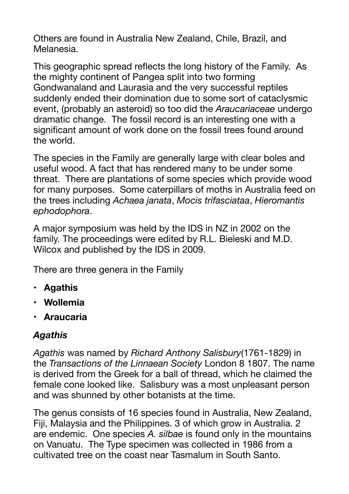Others are found in Australia New Zealand, Chile, Brazil, and Melanesia.

This geographic spread reflects the long history of the Family. As the mighty continent of Pangea split into two forming Gondwanaland and Laurasia and the very successful reptiles suddenly ended their domination due to some sort of cataclysmic event, (probably an asteroid) so too did the *Araucariaceae* undergo dramatic change. The fossil record is an interesting one with a significant amount of work done on the fossil trees found around the world.

The species in the Family are generally large with clear boles and useful wood. A fact that has rendered many to be under some threat. There are plantations of some species which provide wood for many purposes. Some caterpillars of moths in Australia feed on the trees including *Achaea janata*, *Mocis trifasciataa*, *Hieromantis ephodophora*.

A major symposium was held by the IDS in NZ in 2002 on the family. The proceedings were edited by R.L. Bieleski and M.D. Wilcox and published by the IDS in 2009.

There are three genera in the Family

- **• Agathis**
- **• Wollemia**
- **• Araucaria**

## *Agathis*

*Agathis* was named by *Richard Anthony Salisbury*(1761-1829) in the *Transactions of the Linnaean Society* London 8 1807. The name is derived from the Greek for a ball of thread, which he claimed the female cone looked like. Salisbury was a most unpleasant person and was shunned by other botanists at the time.

The genus consists of 16 species found in Australia, New Zealand, Fiji, Malaysia and the Philippines. 3 of which grow in Australia. 2 are endemic. One species *A. silbae* is found only in the mountains on Vanuatu. The Type specimen was collected in 1986 from a cultivated tree on the coast near Tasmalum in South Santo.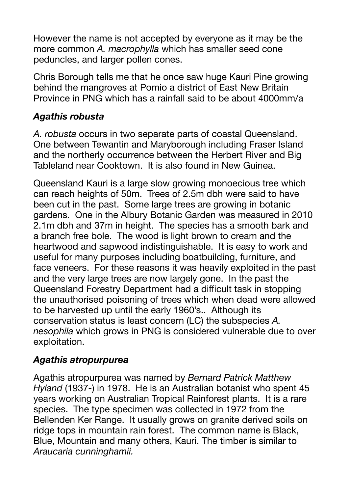However the name is not accepted by everyone as it may be the more common *A. macrophylla* which has smaller seed cone peduncles, and larger pollen cones.

Chris Borough tells me that he once saw huge Kauri Pine growing behind the mangroves at Pomio a district of East New Britain Province in PNG which has a rainfall said to be about 4000mm/a

## *Agathis robusta*

*A. robusta* occurs in two separate parts of coastal Queensland. One between Tewantin and Maryborough including Fraser Island and the northerly occurrence between the Herbert River and Big Tableland near Cooktown. It is also found in New Guinea.

Queensland Kauri is a large slow growing monoecious tree which can reach heights of 50m. Trees of 2.5m dbh were said to have been cut in the past. Some large trees are growing in botanic gardens. One in the Albury Botanic Garden was measured in 2010 2.1m dbh and 37m in height. The species has a smooth bark and a branch free bole. The wood is light brown to cream and the heartwood and sapwood indistinguishable. It is easy to work and useful for many purposes including boatbuilding, furniture, and face veneers. For these reasons it was heavily exploited in the past and the very large trees are now largely gone. In the past the Queensland Forestry Department had a difficult task in stopping the unauthorised poisoning of trees which when dead were allowed to be harvested up until the early 1960's.. Although its conservation status is least concern (LC) the subspecies *A. nesophila* which grows in PNG is considered vulnerable due to over exploitation.

## *Agathis atropurpurea*

Agathis atropurpurea was named by *Bernard Patrick Matthew Hyland* (1937-) in 1978. He is an Australian botanist who spent 45 years working on Australian Tropical Rainforest plants. It is a rare species. The type specimen was collected in 1972 from the Bellenden Ker Range. It usually grows on granite derived soils on ridge tops in mountain rain forest. The common name is Black, Blue, Mountain and many others, Kauri. The timber is similar to *Araucaria cunninghamii.*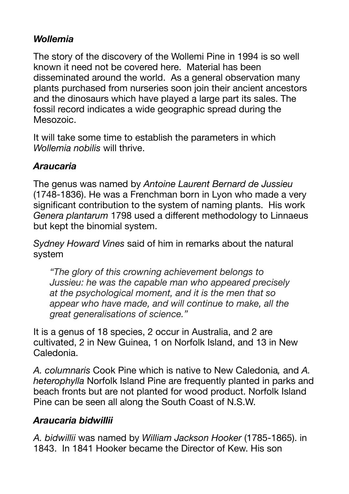## *Wollemia*

The story of the discovery of the Wollemi Pine in 1994 is so well known it need not be covered here. Material has been disseminated around the world. As a general observation many plants purchased from nurseries soon join their ancient ancestors and the dinosaurs which have played a large part its sales. The fossil record indicates a wide geographic spread during the Mesozoic.

It will take some time to establish the parameters in which *Wollemia nobilis* will thrive.

## *Araucaria*

The genus was named by *Antoine Laurent Bernard de Jussieu*  (1748-1836). He was a Frenchman born in Lyon who made a very significant contribution to the system of naming plants. His work *Genera plantarum* 1798 used a different methodology to Linnaeus but kept the binomial system.

*Sydney Howard Vines* said of him in remarks about the natural system

*"The glory of this crowning achievement belongs to Jussieu: he was the capable man who appeared precisely at the psychological moment, and it is the men that so appear who have made, and will continue to make, all the great generalisations of science."* 

It is a genus of 18 species, 2 occur in Australia, and 2 are cultivated, 2 in New Guinea, 1 on Norfolk Island, and 13 in New Caledonia.

*A. columnaris* Cook Pine which is native to New Caledonia*,* and *A. heterophylla* Norfolk Island Pine are frequently planted in parks and beach fronts but are not planted for wood product. Norfolk Island Pine can be seen all along the South Coast of N.S.W.

## *Araucaria bidwillii*

*A. bidwillii* was named by *William Jackson Hooker* (1785-1865). in 1843. In 1841 Hooker became the Director of Kew. His son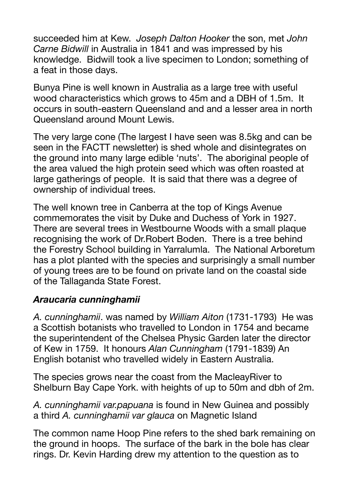succeeded him at Kew. *Joseph Dalton Hooker* the son, met *John Carne Bidwill* in Australia in 1841 and was impressed by his knowledge. Bidwill took a live specimen to London; something of a feat in those days.

Bunya Pine is well known in Australia as a large tree with useful wood characteristics which grows to 45m and a DBH of 1.5m. It occurs in south-eastern Queensland and and a lesser area in north Queensland around Mount Lewis.

The very large cone (The largest I have seen was 8.5kg and can be seen in the FACTT newsletter) is shed whole and disintegrates on the ground into many large edible 'nuts'. The aboriginal people of the area valued the high protein seed which was often roasted at large gatherings of people. It is said that there was a degree of ownership of individual trees.

The well known tree in Canberra at the top of Kings Avenue commemorates the visit by Duke and Duchess of York in 1927. There are several trees in Westbourne Woods with a small plaque recognising the work of Dr.Robert Boden. There is a tree behind the Forestry School building in Yarralumla. The National Arboretum has a plot planted with the species and surprisingly a small number of young trees are to be found on private land on the coastal side of the Tallaganda State Forest.

#### *Araucaria cunninghamii*

*A. cunninghamii*. was named by *William Aiton* (1731-1793) He was a Scottish botanists who travelled to London in 1754 and became the superintendent of the Chelsea Physic Garden later the director of Kew in 1759. It honours *Alan Cunningham* (1791-1839) An English botanist who travelled widely in Eastern Australia.

The species grows near the coast from the MacleayRiver to Shelburn Bay Cape York. with heights of up to 50m and dbh of 2m.

*A. cunninghamii var.papuana* is found in New Guinea and possibly a third *A. cunninghamii var glauca* on Magnetic Island

The common name Hoop Pine refers to the shed bark remaining on the ground in hoops. The surface of the bark in the bole has clear rings. Dr. Kevin Harding drew my attention to the question as to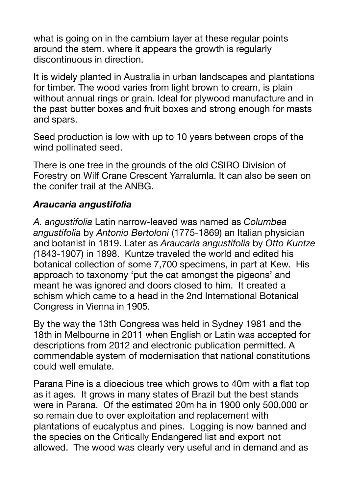what is going on in the cambium layer at these regular points around the stem. where it appears the growth is regularly discontinuous in direction.

It is widely planted in Australia in urban landscapes and plantations for timber. The wood varies from light brown to cream, is plain without annual rings or grain. Ideal for plywood manufacture and in the past butter boxes and fruit boxes and strong enough for masts and spars.

Seed production is low with up to 10 years between crops of the wind pollinated seed.

There is one tree in the grounds of the old CSIRO Division of Forestry on Wilf Crane Crescent Yarralumla. It can also be seen on the conifer trail at the ANBG.

## *Araucaria angustifolia*

*A. angustifolia* Latin narrow-leaved was named as *Columbea angustifolia* by *Antonio Bertoloni* (1775-1869) an Italian physician and botanist in 1819. Later as *Araucaria angustifolia* by *Otto Kuntze (*1843-1907) in 1898. Kuntze traveled the world and edited his botanical collection of some 7,700 specimens, in part at Kew. His approach to taxonomy 'put the cat amongst the pigeons' and meant he was ignored and doors closed to him. It created a schism which came to a head in the 2nd International Botanical Congress in Vienna in 1905.

By the way the 13th Congress was held in Sydney 1981 and the 18th in Melbourne in 2011 when English or Latin was accepted for descriptions from 2012 and electronic publication permitted. A commendable system of modernisation that national constitutions could well emulate.

Parana Pine is a dioecious tree which grows to 40m with a flat top as it ages. It grows in many states of Brazil but the best stands were in Parana. Of the estimated 20m ha in 1900 only 500,000 or so remain due to over exploitation and replacement with plantations of eucalyptus and pines. Logging is now banned and the species on the Critically Endangered list and export not allowed. The wood was clearly very useful and in demand and as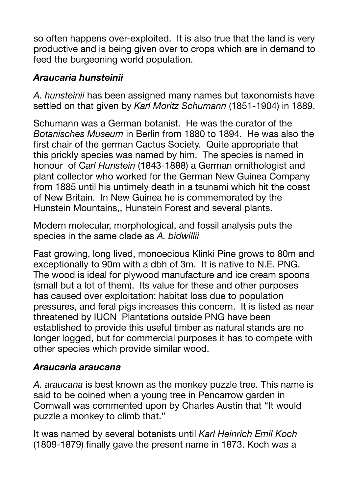so often happens over-exploited. It is also true that the land is very productive and is being given over to crops which are in demand to feed the burgeoning world population.

## *Araucaria hunsteinii*

*A. hunsteinii* has been assigned many names but taxonomists have settled on that given by *Karl Moritz Schumann* (1851-1904) in 1889.

Schumann was a German botanist. He was the curator of the *Botanisches Museum* in Berlin from 1880 to 1894. He was also the first chair of the german Cactus Society. Quite appropriate that this prickly species was named by him. The species is named in honour of C*arl Hunstein* (1843-1888) a German ornithologist and plant collector who worked for the German New Guinea Company from 1885 until his untimely death in a tsunami which hit the coast of New Britain. In New Guinea he is commemorated by the Hunstein Mountains,, Hunstein Forest and several plants.

Modern molecular, morphological, and fossil analysis puts the species in the same clade as *A. bidwillii* 

Fast growing, long lived, monoecious Klinki Pine grows to 80m and exceptionally to 90m with a dbh of 3m. It is native to N.E. PNG. The wood is ideal for plywood manufacture and ice cream spoons (small but a lot of them). Its value for these and other purposes has caused over exploitation; habitat loss due to population pressures, and feral pigs increases this concern. It is listed as near threatened by IUCN Plantations outside PNG have been established to provide this useful timber as natural stands are no longer logged, but for commercial purposes it has to compete with other species which provide similar wood.

## *Araucaria araucana*

*A. araucana* is best known as the monkey puzzle tree. This name is said to be coined when a young tree in Pencarrow garden in Cornwall was commented upon by Charles Austin that "It would puzzle a monkey to climb that."

It was named by several botanists until *Karl Heinrich Emil Koch* (1809-1879) finally gave the present name in 1873. Koch was a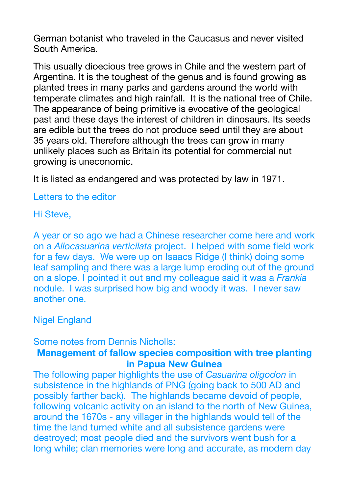German botanist who traveled in the Caucasus and never visited South America.

This usually dioecious tree grows in Chile and the western part of Argentina. It is the toughest of the genus and is found growing as planted trees in many parks and gardens around the world with temperate climates and high rainfall. It is the national tree of Chile. The appearance of being primitive is evocative of the geological past and these days the interest of children in dinosaurs. Its seeds are edible but the trees do not produce seed until they are about 35 years old. Therefore although the trees can grow in many unlikely places such as Britain its potential for commercial nut growing is uneconomic.

It is listed as endangered and was protected by law in 1971.

#### Letters to the editor

#### Hi Steve,

A year or so ago we had a Chinese researcher come here and work on a *Allocasuarina verticilata* project. I helped with some field work for a few days. We were up on Isaacs Ridge (I think) doing some leaf sampling and there was a large lump eroding out of the ground on a slope. I pointed it out and my colleague said it was a *Frankia* nodule. I was surprised how big and woody it was. I never saw another one.

#### Nigel England

#### Some notes from Dennis Nicholls:

#### **Management of fallow species composition with tree planting in Papua New Guinea**

The following paper highlights the use of *Casuarina oligodon* in subsistence in the highlands of PNG (going back to 500 AD and possibly farther back). The highlands became devoid of people, following volcanic activity on an island to the north of New Guinea, around the 1670s - any villager in the highlands would tell of the time the land turned white and all subsistence gardens were destroyed; most people died and the survivors went bush for a long while; clan memories were long and accurate, as modern day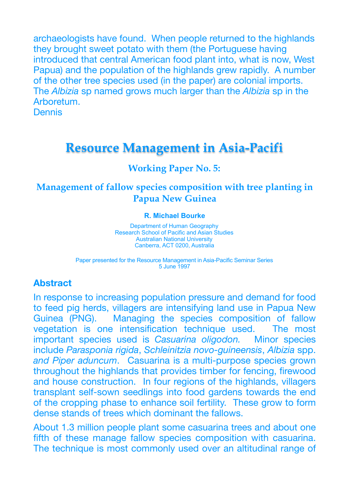archaeologists have found. When people returned to the highlands they brought sweet potato with them (the Portuguese having introduced that central American food plant into, what is now, West Papua) and the population of the highlands grew rapidly. A number of the other tree species used (in the paper) are colonial imports. The *Albizia* sp named grows much larger than the *Albizia* sp in the Arboretum.

**Dennis** 

# **Resource Management in Asia-Pacifi**

#### **Working Paper No. 5:**

### **Management of fallow species composition with tree planting in Papua New Guinea**

#### **R. Michael Bourke**

Department of Human Geography Research School of Pacific and Asian Studies Australian National University Canberra, ACT 0200, Australia

Paper presented for the Resource Management in Asia-Pacific Seminar Series 5 June 1997

#### **Abstract**

In response to increasing population pressure and demand for food to feed pig herds, villagers are intensifying land use in Papua New Guinea (PNG). Managing the species composition of fallow vegetation is one intensification technique used. The most important species used is *Casuarina oligodon.* Minor species include *Parasponia rigida*, *Schleinitzia novo-guineensis*, *Albizia* spp. *and Piper aduncum*. Casuarina is a multi-purpose species grown throughout the highlands that provides timber for fencing, firewood and house construction. In four regions of the highlands, villagers transplant self-sown seedlings into food gardens towards the end of the cropping phase to enhance soil fertility. These grow to form dense stands of trees which dominant the fallows.

About 1.3 million people plant some casuarina trees and about one fifth of these manage fallow species composition with casuarina. The technique is most commonly used over an altitudinal range of